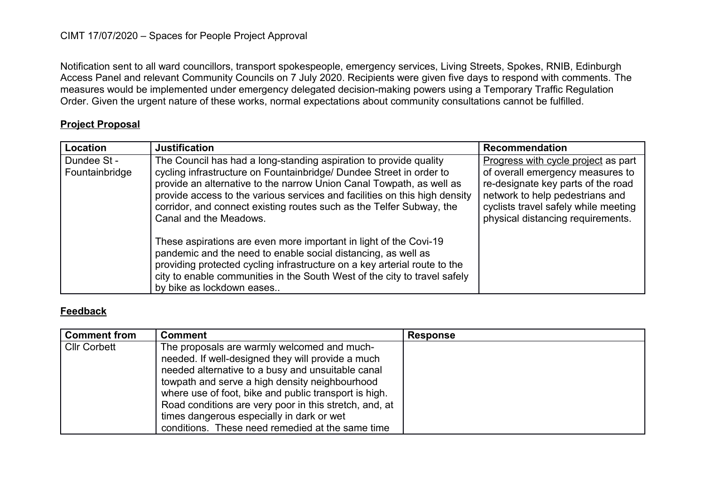## CIMT 17/07/2020 – Spaces for People Project Approval

Notification sent to all ward councillors, transport spokespeople, emergency services, Living Streets, Spokes, RNIB, Edinburgh Access Panel and relevant Community Councils on 7 July 2020. Recipients were given five days to respond with comments. The measures would be implemented under emergency delegated decision-making powers using a Temporary Traffic Regulation Order. Given the urgent nature of these works, normal expectations about community consultations cannot be fulfilled.

## **Project Proposal**

| Location                      | <b>Justification</b>                                                                                                                                                                                                                                                                                                                                                                             | Recommendation                                                                                                                                                                                                                |
|-------------------------------|--------------------------------------------------------------------------------------------------------------------------------------------------------------------------------------------------------------------------------------------------------------------------------------------------------------------------------------------------------------------------------------------------|-------------------------------------------------------------------------------------------------------------------------------------------------------------------------------------------------------------------------------|
| Dundee St -<br>Fountainbridge | The Council has had a long-standing aspiration to provide quality<br>cycling infrastructure on Fountainbridge/ Dundee Street in order to<br>provide an alternative to the narrow Union Canal Towpath, as well as<br>provide access to the various services and facilities on this high density<br>corridor, and connect existing routes such as the Telfer Subway, the<br>Canal and the Meadows. | Progress with cycle project as part<br>of overall emergency measures to<br>re-designate key parts of the road<br>network to help pedestrians and<br>cyclists travel safely while meeting<br>physical distancing requirements. |
|                               | These aspirations are even more important in light of the Covi-19<br>pandemic and the need to enable social distancing, as well as<br>providing protected cycling infrastructure on a key arterial route to the<br>city to enable communities in the South West of the city to travel safely<br>by bike as lockdown eases                                                                        |                                                                                                                                                                                                                               |

## **Feedback**

| <b>Comment from</b> | <b>Comment</b>                                         | <b>Response</b> |
|---------------------|--------------------------------------------------------|-----------------|
| <b>Cllr Corbett</b> | The proposals are warmly welcomed and much-            |                 |
|                     | needed. If well-designed they will provide a much      |                 |
|                     | needed alternative to a busy and unsuitable canal      |                 |
|                     | towpath and serve a high density neighbourhood         |                 |
|                     | where use of foot, bike and public transport is high.  |                 |
|                     | Road conditions are very poor in this stretch, and, at |                 |
|                     | times dangerous especially in dark or wet              |                 |
|                     | conditions. These need remedied at the same time       |                 |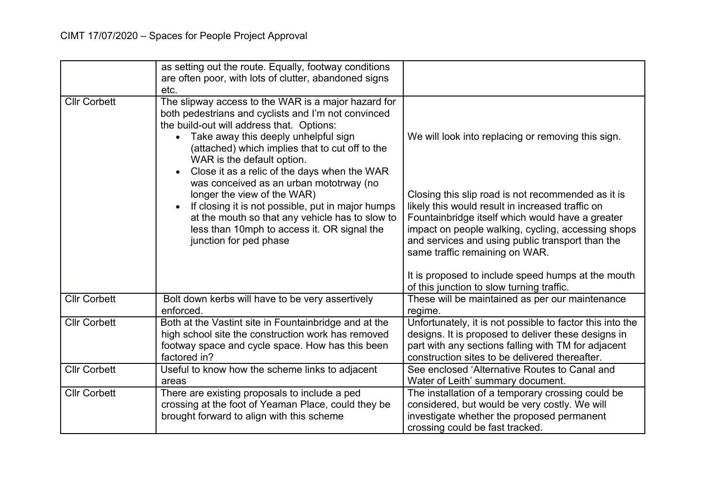|                     | as setting out the route. Equally, footway conditions<br>are often poor, with lots of clutter, abandoned signs<br>etc.                                                                                                                                                                                                                                                                                                                                                                                                                                                                                   |                                                                                                                                                                                                                                                                                                                                                                                                                                                                 |
|---------------------|----------------------------------------------------------------------------------------------------------------------------------------------------------------------------------------------------------------------------------------------------------------------------------------------------------------------------------------------------------------------------------------------------------------------------------------------------------------------------------------------------------------------------------------------------------------------------------------------------------|-----------------------------------------------------------------------------------------------------------------------------------------------------------------------------------------------------------------------------------------------------------------------------------------------------------------------------------------------------------------------------------------------------------------------------------------------------------------|
| <b>Cllr Corbett</b> | The slipway access to the WAR is a major hazard for<br>both pedestrians and cyclists and I'm not convinced<br>the build-out will address that. Options:<br>Take away this deeply unhelpful sign<br>$\bullet$<br>(attached) which implies that to cut off to the<br>WAR is the default option.<br>Close it as a relic of the days when the WAR<br>was conceived as an urban mototrway (no<br>longer the view of the WAR)<br>If closing it is not possible, put in major humps<br>at the mouth so that any vehicle has to slow to<br>less than 10mph to access it. OR signal the<br>junction for ped phase | We will look into replacing or removing this sign.<br>Closing this slip road is not recommended as it is<br>likely this would result in increased traffic on<br>Fountainbridge itself which would have a greater<br>impact on people walking, cycling, accessing shops<br>and services and using public transport than the<br>same traffic remaining on WAR.<br>It is proposed to include speed humps at the mouth<br>of this junction to slow turning traffic. |
| <b>Cllr Corbett</b> | Bolt down kerbs will have to be very assertively<br>enforced.                                                                                                                                                                                                                                                                                                                                                                                                                                                                                                                                            | These will be maintained as per our maintenance<br>regime.                                                                                                                                                                                                                                                                                                                                                                                                      |
| <b>Cllr Corbett</b> | Both at the Vastint site in Fountainbridge and at the<br>high school site the construction work has removed<br>footway space and cycle space. How has this been<br>factored in?                                                                                                                                                                                                                                                                                                                                                                                                                          | Unfortunately, it is not possible to factor this into the<br>designs. It is proposed to deliver these designs in<br>part with any sections falling with TM for adjacent<br>construction sites to be delivered thereafter.                                                                                                                                                                                                                                       |
| <b>Cllr Corbett</b> | Useful to know how the scheme links to adjacent<br>areas                                                                                                                                                                                                                                                                                                                                                                                                                                                                                                                                                 | See enclosed 'Alternative Routes to Canal and<br>Water of Leith' summary document.                                                                                                                                                                                                                                                                                                                                                                              |
| <b>Cllr Corbett</b> | There are existing proposals to include a ped<br>crossing at the foot of Yeaman Place, could they be<br>brought forward to align with this scheme                                                                                                                                                                                                                                                                                                                                                                                                                                                        | The installation of a temporary crossing could be<br>considered, but would be very costly. We will<br>investigate whether the proposed permanent<br>crossing could be fast tracked.                                                                                                                                                                                                                                                                             |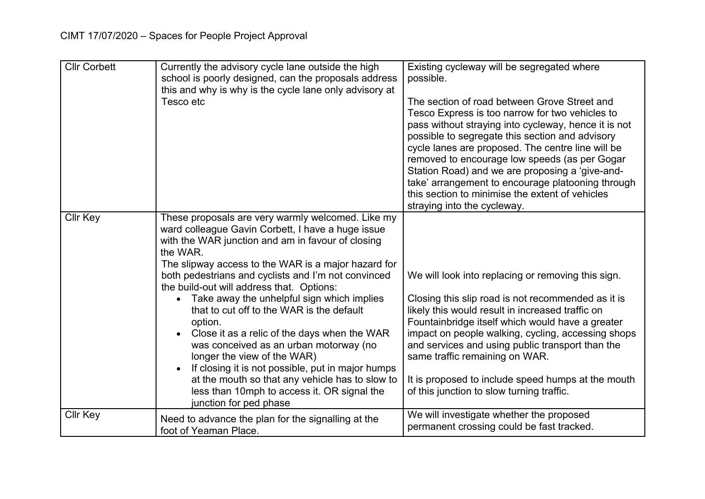| <b>Cllr Corbett</b> | Currently the advisory cycle lane outside the high<br>school is poorly designed, can the proposals address<br>this and why is why is the cycle lane only advisory at<br>Tesco etc                                                                                                                                                                                                                                                                                                                                                                                                                                                                                                                                                                               | Existing cycleway will be segregated where<br>possible.<br>The section of road between Grove Street and<br>Tesco Express is too narrow for two vehicles to<br>pass without straying into cycleway, hence it is not<br>possible to segregate this section and advisory<br>cycle lanes are proposed. The centre line will be<br>removed to encourage low speeds (as per Gogar<br>Station Road) and we are proposing a 'give-and-<br>take' arrangement to encourage platooning through<br>this section to minimise the extent of vehicles<br>straying into the cycleway. |
|---------------------|-----------------------------------------------------------------------------------------------------------------------------------------------------------------------------------------------------------------------------------------------------------------------------------------------------------------------------------------------------------------------------------------------------------------------------------------------------------------------------------------------------------------------------------------------------------------------------------------------------------------------------------------------------------------------------------------------------------------------------------------------------------------|-----------------------------------------------------------------------------------------------------------------------------------------------------------------------------------------------------------------------------------------------------------------------------------------------------------------------------------------------------------------------------------------------------------------------------------------------------------------------------------------------------------------------------------------------------------------------|
| <b>Cllr Key</b>     | These proposals are very warmly welcomed. Like my<br>ward colleague Gavin Corbett, I have a huge issue<br>with the WAR junction and am in favour of closing<br>the WAR.<br>The slipway access to the WAR is a major hazard for<br>both pedestrians and cyclists and I'm not convinced<br>the build-out will address that. Options:<br>Take away the unhelpful sign which implies<br>$\bullet$<br>that to cut off to the WAR is the default<br>option.<br>Close it as a relic of the days when the WAR<br>was conceived as an urban motorway (no<br>longer the view of the WAR)<br>If closing it is not possible, put in major humps<br>at the mouth so that any vehicle has to slow to<br>less than 10mph to access it. OR signal the<br>junction for ped phase | We will look into replacing or removing this sign.<br>Closing this slip road is not recommended as it is<br>likely this would result in increased traffic on<br>Fountainbridge itself which would have a greater<br>impact on people walking, cycling, accessing shops<br>and services and using public transport than the<br>same traffic remaining on WAR.<br>It is proposed to include speed humps at the mouth<br>of this junction to slow turning traffic.                                                                                                       |
| Cllr Key            | Need to advance the plan for the signalling at the<br>foot of Yeaman Place.                                                                                                                                                                                                                                                                                                                                                                                                                                                                                                                                                                                                                                                                                     | We will investigate whether the proposed<br>permanent crossing could be fast tracked.                                                                                                                                                                                                                                                                                                                                                                                                                                                                                 |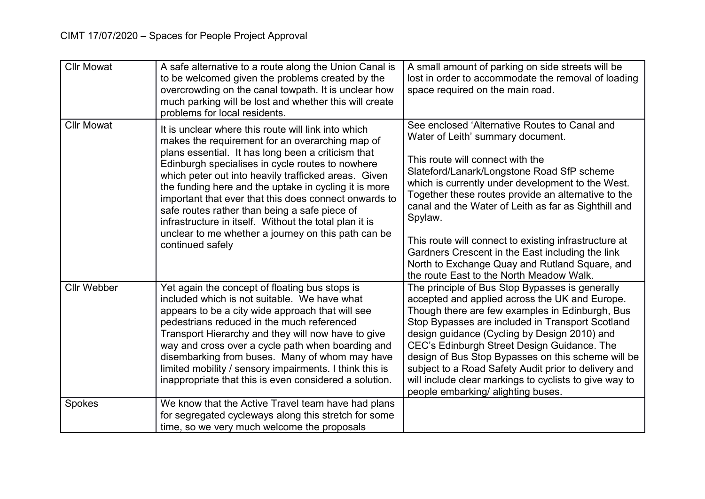| <b>Cllr Mowat</b>  | A safe alternative to a route along the Union Canal is<br>to be welcomed given the problems created by the<br>overcrowding on the canal towpath. It is unclear how<br>much parking will be lost and whether this will create<br>problems for local residents.                                                                                                                                                                                                                                                                                                                    | A small amount of parking on side streets will be<br>lost in order to accommodate the removal of loading<br>space required on the main road.                                                                                                                                                                                                                                                                                                                                                                                                                   |
|--------------------|----------------------------------------------------------------------------------------------------------------------------------------------------------------------------------------------------------------------------------------------------------------------------------------------------------------------------------------------------------------------------------------------------------------------------------------------------------------------------------------------------------------------------------------------------------------------------------|----------------------------------------------------------------------------------------------------------------------------------------------------------------------------------------------------------------------------------------------------------------------------------------------------------------------------------------------------------------------------------------------------------------------------------------------------------------------------------------------------------------------------------------------------------------|
| <b>Cllr Mowat</b>  | It is unclear where this route will link into which<br>makes the requirement for an overarching map of<br>plans essential. It has long been a criticism that<br>Edinburgh specialises in cycle routes to nowhere<br>which peter out into heavily trafficked areas. Given<br>the funding here and the uptake in cycling it is more<br>important that ever that this does connect onwards to<br>safe routes rather than being a safe piece of<br>infrastructure in itself. Without the total plan it is<br>unclear to me whether a journey on this path can be<br>continued safely | See enclosed 'Alternative Routes to Canal and<br>Water of Leith' summary document.<br>This route will connect with the<br>Slateford/Lanark/Longstone Road SfP scheme<br>which is currently under development to the West.<br>Together these routes provide an alternative to the<br>canal and the Water of Leith as far as Sighthill and<br>Spylaw.<br>This route will connect to existing infrastructure at<br>Gardners Crescent in the East including the link<br>North to Exchange Quay and Rutland Square, and<br>the route East to the North Meadow Walk. |
| <b>Cllr Webber</b> | Yet again the concept of floating bus stops is<br>included which is not suitable. We have what<br>appears to be a city wide approach that will see<br>pedestrians reduced in the much referenced<br>Transport Hierarchy and they will now have to give<br>way and cross over a cycle path when boarding and<br>disembarking from buses. Many of whom may have<br>limited mobility / sensory impairments. I think this is<br>inappropriate that this is even considered a solution.                                                                                               | The principle of Bus Stop Bypasses is generally<br>accepted and applied across the UK and Europe.<br>Though there are few examples in Edinburgh, Bus<br>Stop Bypasses are included in Transport Scotland<br>design guidance (Cycling by Design 2010) and<br>CEC's Edinburgh Street Design Guidance. The<br>design of Bus Stop Bypasses on this scheme will be<br>subject to a Road Safety Audit prior to delivery and<br>will include clear markings to cyclists to give way to<br>people embarking/ alighting buses.                                          |
| Spokes             | We know that the Active Travel team have had plans<br>for segregated cycleways along this stretch for some<br>time, so we very much welcome the proposals                                                                                                                                                                                                                                                                                                                                                                                                                        |                                                                                                                                                                                                                                                                                                                                                                                                                                                                                                                                                                |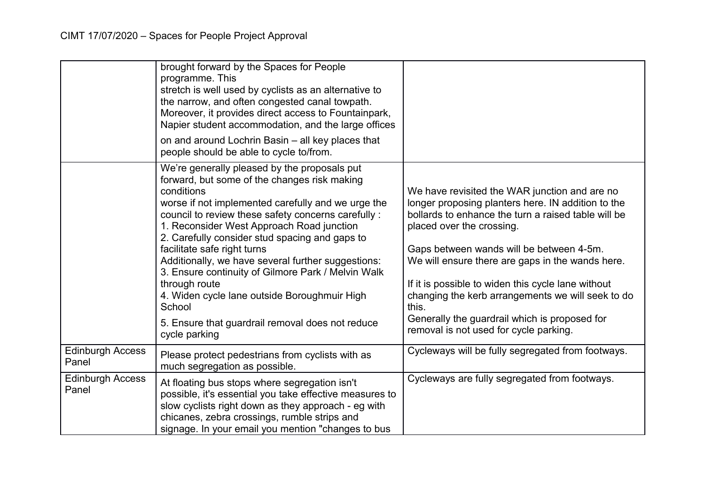|                                  | brought forward by the Spaces for People<br>programme. This<br>stretch is well used by cyclists as an alternative to<br>the narrow, and often congested canal towpath.<br>Moreover, it provides direct access to Fountainpark,<br>Napier student accommodation, and the large offices                                                                                                                                                                                                                                                                                                                             |                                                                                                                                                                                                                                                                                                                                                                                                                                                                                                        |
|----------------------------------|-------------------------------------------------------------------------------------------------------------------------------------------------------------------------------------------------------------------------------------------------------------------------------------------------------------------------------------------------------------------------------------------------------------------------------------------------------------------------------------------------------------------------------------------------------------------------------------------------------------------|--------------------------------------------------------------------------------------------------------------------------------------------------------------------------------------------------------------------------------------------------------------------------------------------------------------------------------------------------------------------------------------------------------------------------------------------------------------------------------------------------------|
|                                  | on and around Lochrin Basin – all key places that<br>people should be able to cycle to/from.                                                                                                                                                                                                                                                                                                                                                                                                                                                                                                                      |                                                                                                                                                                                                                                                                                                                                                                                                                                                                                                        |
|                                  | We're generally pleased by the proposals put<br>forward, but some of the changes risk making<br>conditions<br>worse if not implemented carefully and we urge the<br>council to review these safety concerns carefully :<br>1. Reconsider West Approach Road junction<br>2. Carefully consider stud spacing and gaps to<br>facilitate safe right turns<br>Additionally, we have several further suggestions:<br>3. Ensure continuity of Gilmore Park / Melvin Walk<br>through route<br>4. Widen cycle lane outside Boroughmuir High<br>School<br>5. Ensure that guardrail removal does not reduce<br>cycle parking | We have revisited the WAR junction and are no<br>longer proposing planters here. IN addition to the<br>bollards to enhance the turn a raised table will be<br>placed over the crossing.<br>Gaps between wands will be between 4-5m.<br>We will ensure there are gaps in the wands here.<br>If it is possible to widen this cycle lane without<br>changing the kerb arrangements we will seek to do<br>this.<br>Generally the guardrail which is proposed for<br>removal is not used for cycle parking. |
| <b>Edinburgh Access</b><br>Panel | Please protect pedestrians from cyclists with as<br>much segregation as possible.                                                                                                                                                                                                                                                                                                                                                                                                                                                                                                                                 | Cycleways will be fully segregated from footways.                                                                                                                                                                                                                                                                                                                                                                                                                                                      |
| <b>Edinburgh Access</b><br>Panel | At floating bus stops where segregation isn't<br>possible, it's essential you take effective measures to<br>slow cyclists right down as they approach - eg with<br>chicanes, zebra crossings, rumble strips and<br>signage. In your email you mention "changes to bus                                                                                                                                                                                                                                                                                                                                             | Cycleways are fully segregated from footways.                                                                                                                                                                                                                                                                                                                                                                                                                                                          |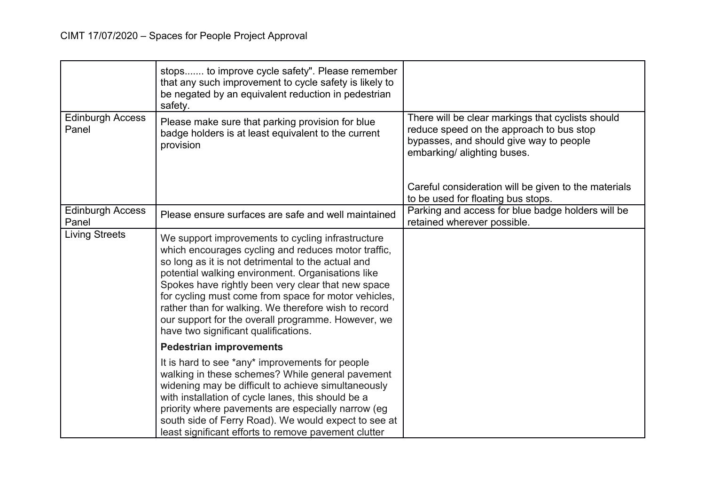|                                  | stops to improve cycle safety". Please remember<br>that any such improvement to cycle safety is likely to<br>be negated by an equivalent reduction in pedestrian<br>safety.                                                                                                                                                                                                                                                                                                             |                                                                                                                                                                         |
|----------------------------------|-----------------------------------------------------------------------------------------------------------------------------------------------------------------------------------------------------------------------------------------------------------------------------------------------------------------------------------------------------------------------------------------------------------------------------------------------------------------------------------------|-------------------------------------------------------------------------------------------------------------------------------------------------------------------------|
| <b>Edinburgh Access</b><br>Panel | Please make sure that parking provision for blue<br>badge holders is at least equivalent to the current<br>provision                                                                                                                                                                                                                                                                                                                                                                    | There will be clear markings that cyclists should<br>reduce speed on the approach to bus stop<br>bypasses, and should give way to people<br>embarking/ alighting buses. |
|                                  |                                                                                                                                                                                                                                                                                                                                                                                                                                                                                         | Careful consideration will be given to the materials<br>to be used for floating bus stops.                                                                              |
| <b>Edinburgh Access</b><br>Panel | Please ensure surfaces are safe and well maintained                                                                                                                                                                                                                                                                                                                                                                                                                                     | Parking and access for blue badge holders will be<br>retained wherever possible.                                                                                        |
| <b>Living Streets</b>            | We support improvements to cycling infrastructure<br>which encourages cycling and reduces motor traffic,<br>so long as it is not detrimental to the actual and<br>potential walking environment. Organisations like<br>Spokes have rightly been very clear that new space<br>for cycling must come from space for motor vehicles,<br>rather than for walking. We therefore wish to record<br>our support for the overall programme. However, we<br>have two significant qualifications. |                                                                                                                                                                         |
|                                  | <b>Pedestrian improvements</b>                                                                                                                                                                                                                                                                                                                                                                                                                                                          |                                                                                                                                                                         |
|                                  | It is hard to see *any* improvements for people<br>walking in these schemes? While general pavement<br>widening may be difficult to achieve simultaneously<br>with installation of cycle lanes, this should be a<br>priority where pavements are especially narrow (eg<br>south side of Ferry Road). We would expect to see at<br>least significant efforts to remove pavement clutter                                                                                                  |                                                                                                                                                                         |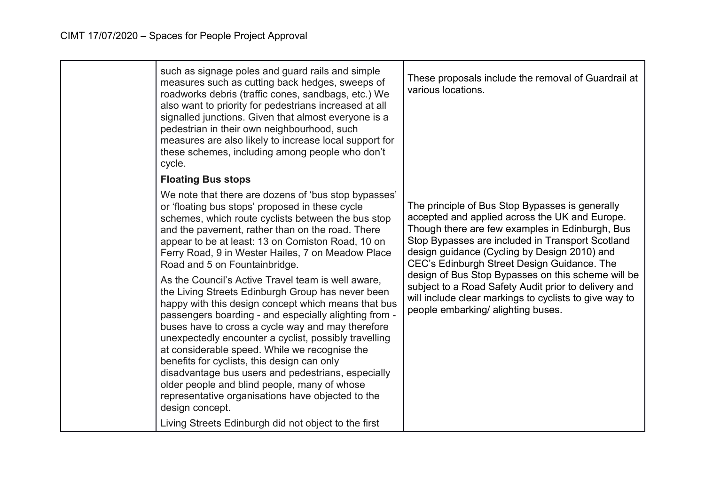| such as signage poles and guard rails and simple<br>measures such as cutting back hedges, sweeps of<br>roadworks debris (traffic cones, sandbags, etc.) We<br>also want to priority for pedestrians increased at all<br>signalled junctions. Given that almost everyone is a<br>pedestrian in their own neighbourhood, such<br>measures are also likely to increase local support for<br>these schemes, including among people who don't<br>cycle.                                                                                                                                                                  | These proposals include the removal of Guardrail at<br>various locations.                                                                                                                                                                                                                               |
|---------------------------------------------------------------------------------------------------------------------------------------------------------------------------------------------------------------------------------------------------------------------------------------------------------------------------------------------------------------------------------------------------------------------------------------------------------------------------------------------------------------------------------------------------------------------------------------------------------------------|---------------------------------------------------------------------------------------------------------------------------------------------------------------------------------------------------------------------------------------------------------------------------------------------------------|
| <b>Floating Bus stops</b>                                                                                                                                                                                                                                                                                                                                                                                                                                                                                                                                                                                           |                                                                                                                                                                                                                                                                                                         |
| We note that there are dozens of 'bus stop bypasses'<br>or 'floating bus stops' proposed in these cycle<br>schemes, which route cyclists between the bus stop<br>and the pavement, rather than on the road. There<br>appear to be at least: 13 on Comiston Road, 10 on<br>Ferry Road, 9 in Wester Hailes, 7 on Meadow Place<br>Road and 5 on Fountainbridge.                                                                                                                                                                                                                                                        | The principle of Bus Stop Bypasses is generally<br>accepted and applied across the UK and Europe.<br>Though there are few examples in Edinburgh, Bus<br>Stop Bypasses are included in Transport Scotland<br>design guidance (Cycling by Design 2010) and<br>CEC's Edinburgh Street Design Guidance. The |
| As the Council's Active Travel team is well aware,<br>the Living Streets Edinburgh Group has never been<br>happy with this design concept which means that bus<br>passengers boarding - and especially alighting from -<br>buses have to cross a cycle way and may therefore<br>unexpectedly encounter a cyclist, possibly travelling<br>at considerable speed. While we recognise the<br>benefits for cyclists, this design can only<br>disadvantage bus users and pedestrians, especially<br>older people and blind people, many of whose<br>representative organisations have objected to the<br>design concept. | design of Bus Stop Bypasses on this scheme will be<br>subject to a Road Safety Audit prior to delivery and<br>will include clear markings to cyclists to give way to<br>people embarking/ alighting buses.                                                                                              |
| Living Streets Edinburgh did not object to the first                                                                                                                                                                                                                                                                                                                                                                                                                                                                                                                                                                |                                                                                                                                                                                                                                                                                                         |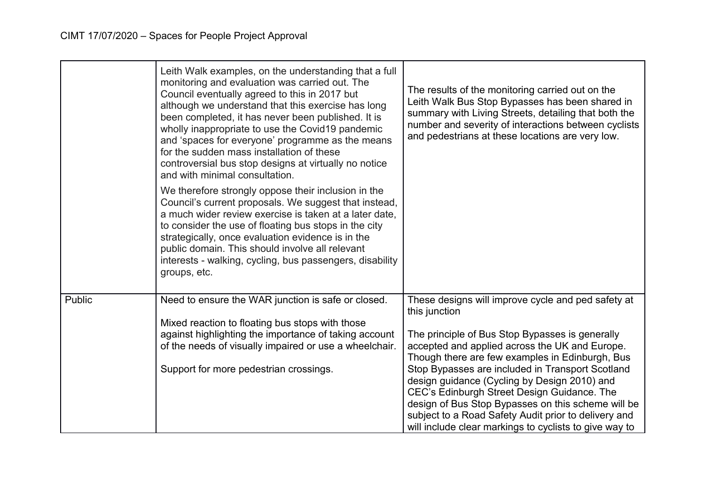|        | Leith Walk examples, on the understanding that a full<br>monitoring and evaluation was carried out. The<br>Council eventually agreed to this in 2017 but<br>although we understand that this exercise has long<br>been completed, it has never been published. It is<br>wholly inappropriate to use the Covid19 pandemic<br>and 'spaces for everyone' programme as the means<br>for the sudden mass installation of these<br>controversial bus stop designs at virtually no notice<br>and with minimal consultation.<br>We therefore strongly oppose their inclusion in the<br>Council's current proposals. We suggest that instead,<br>a much wider review exercise is taken at a later date,<br>to consider the use of floating bus stops in the city<br>strategically, once evaluation evidence is in the<br>public domain. This should involve all relevant<br>interests - walking, cycling, bus passengers, disability<br>groups, etc. | The results of the monitoring carried out on the<br>Leith Walk Bus Stop Bypasses has been shared in<br>summary with Living Streets, detailing that both the<br>number and severity of interactions between cyclists<br>and pedestrians at these locations are very low. |
|--------|---------------------------------------------------------------------------------------------------------------------------------------------------------------------------------------------------------------------------------------------------------------------------------------------------------------------------------------------------------------------------------------------------------------------------------------------------------------------------------------------------------------------------------------------------------------------------------------------------------------------------------------------------------------------------------------------------------------------------------------------------------------------------------------------------------------------------------------------------------------------------------------------------------------------------------------------|-------------------------------------------------------------------------------------------------------------------------------------------------------------------------------------------------------------------------------------------------------------------------|
| Public | Need to ensure the WAR junction is safe or closed.                                                                                                                                                                                                                                                                                                                                                                                                                                                                                                                                                                                                                                                                                                                                                                                                                                                                                          | These designs will improve cycle and ped safety at<br>this junction                                                                                                                                                                                                     |
|        | Mixed reaction to floating bus stops with those                                                                                                                                                                                                                                                                                                                                                                                                                                                                                                                                                                                                                                                                                                                                                                                                                                                                                             |                                                                                                                                                                                                                                                                         |
|        | against highlighting the importance of taking account                                                                                                                                                                                                                                                                                                                                                                                                                                                                                                                                                                                                                                                                                                                                                                                                                                                                                       | The principle of Bus Stop Bypasses is generally                                                                                                                                                                                                                         |
|        | of the needs of visually impaired or use a wheelchair.                                                                                                                                                                                                                                                                                                                                                                                                                                                                                                                                                                                                                                                                                                                                                                                                                                                                                      | accepted and applied across the UK and Europe.<br>Though there are few examples in Edinburgh, Bus                                                                                                                                                                       |
|        | Support for more pedestrian crossings.                                                                                                                                                                                                                                                                                                                                                                                                                                                                                                                                                                                                                                                                                                                                                                                                                                                                                                      | Stop Bypasses are included in Transport Scotland                                                                                                                                                                                                                        |
|        |                                                                                                                                                                                                                                                                                                                                                                                                                                                                                                                                                                                                                                                                                                                                                                                                                                                                                                                                             | design guidance (Cycling by Design 2010) and                                                                                                                                                                                                                            |
|        |                                                                                                                                                                                                                                                                                                                                                                                                                                                                                                                                                                                                                                                                                                                                                                                                                                                                                                                                             | CEC's Edinburgh Street Design Guidance. The                                                                                                                                                                                                                             |
|        |                                                                                                                                                                                                                                                                                                                                                                                                                                                                                                                                                                                                                                                                                                                                                                                                                                                                                                                                             | design of Bus Stop Bypasses on this scheme will be<br>subject to a Road Safety Audit prior to delivery and                                                                                                                                                              |
|        |                                                                                                                                                                                                                                                                                                                                                                                                                                                                                                                                                                                                                                                                                                                                                                                                                                                                                                                                             | will include clear markings to cyclists to give way to                                                                                                                                                                                                                  |